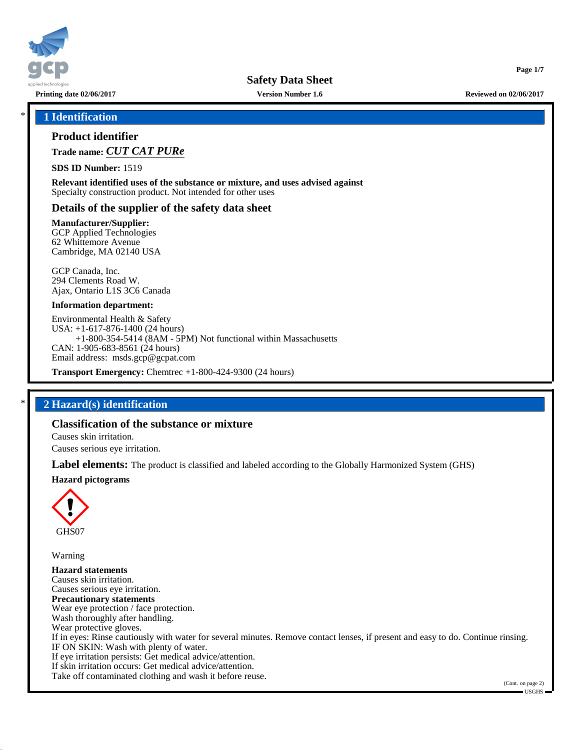

**Printing date 02/06/2017 Version Number 1.6 Reviewed on 02/06/2017**

**Page 1/7**

### \* **1 Identification**

## **Product identifier**

**Trade name:** *CUT CAT PURe*

**SDS ID Number:** 1519

**Relevant identified uses of the substance or mixture, and uses advised against** Specialty construction product. Not intended for other uses

## **Details of the supplier of the safety data sheet**

**Manufacturer/Supplier:**

GCP Applied Technologies 62 Whittemore Avenue Cambridge, MA 02140 USA

GCP Canada, Inc. 294 Clements Road W. Ajax, Ontario L1S 3C6 Canada

#### **Information department:**

Environmental Health & Safety USA: +1-617-876-1400 (24 hours) +1-800-354-5414 (8AM - 5PM) Not functional within Massachusetts CAN: 1-905-683-8561 (24 hours) Email address: msds.gcp@gcpat.com

**Transport Emergency:** Chemtrec +1-800-424-9300 (24 hours)

## \* **2 Hazard(s) identification**

## **Classification of the substance or mixture**

Causes skin irritation.

Causes serious eye irritation.

**Label elements:** The product is classified and labeled according to the Globally Harmonized System (GHS)

#### **Hazard pictograms**



Warning

**Hazard statements** Causes skin irritation. Causes serious eye irritation. **Precautionary statements** Wear eye protection / face protection. Wash thoroughly after handling. Wear protective gloves. If in eyes: Rinse cautiously with water for several minutes. Remove contact lenses, if present and easy to do. Continue rinsing. IF ON SKIN: Wash with plenty of water. If eye irritation persists: Get medical advice/attention. If skin irritation occurs: Get medical advice/attention. Take off contaminated clothing and wash it before reuse.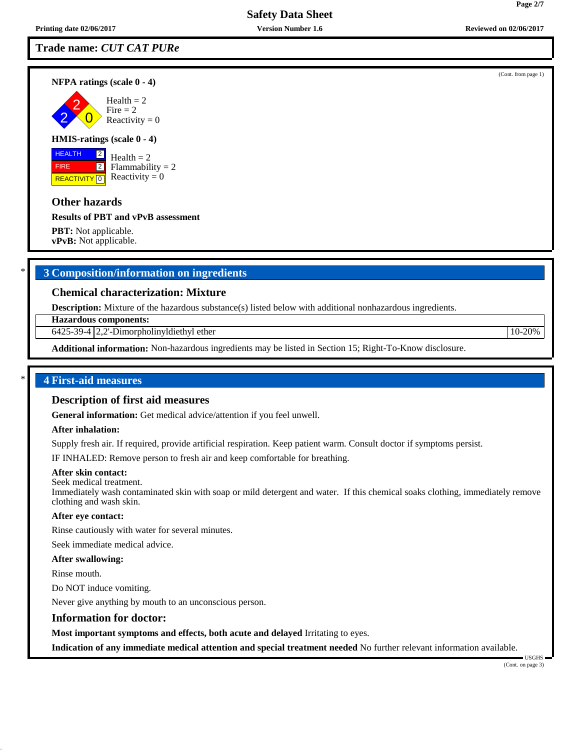## **Trade name:** *CUT CAT PURe*

**NFPA ratings (scale 0 - 4)**

2 2  $\overline{\mathbf{0}}$  $Health = 2$  $Fire = 2$ Reactivity  $= 0$ 

#### **HMIS-ratings (scale 0 - 4)**

 HEALTH FIRE **REACTIVITY** 0 2 2

 $Health = 2$ Flammability  $= 2$ Reactivity  $= 0$ 

## **Other hazards**

### **Results of PBT and vPvB assessment**

**PBT:** Not applicable. **vPvB:** Not applicable.

## \* **3 Composition/information on ingredients**

## **Chemical characterization: Mixture**

**Description:** Mixture of the hazardous substance(s) listed below with additional nonhazardous ingredients.

**Hazardous components:**

 $6425-39-4$  |  $2,2$ -Dimorpholinyldiethyl ether 10-20%

**Additional information:** Non-hazardous ingredients may be listed in Section 15; Right-To-Know disclosure.

## \* **4 First-aid measures**

#### **Description of first aid measures**

**General information:** Get medical advice/attention if you feel unwell.

### **After inhalation:**

Supply fresh air. If required, provide artificial respiration. Keep patient warm. Consult doctor if symptoms persist.

IF INHALED: Remove person to fresh air and keep comfortable for breathing.

#### **After skin contact:**

Seek medical treatment. Immediately wash contaminated skin with soap or mild detergent and water. If this chemical soaks clothing, immediately remove clothing and wash skin.

#### **After eye contact:**

Rinse cautiously with water for several minutes.

Seek immediate medical advice.

#### **After swallowing:**

Rinse mouth.

Do NOT induce vomiting.

Never give anything by mouth to an unconscious person.

#### **Information for doctor:**

**Most important symptoms and effects, both acute and delayed** Irritating to eyes.

**Indication of any immediate medical attention and special treatment needed** No further relevant information available.

USGHS

(Cont. from page 1)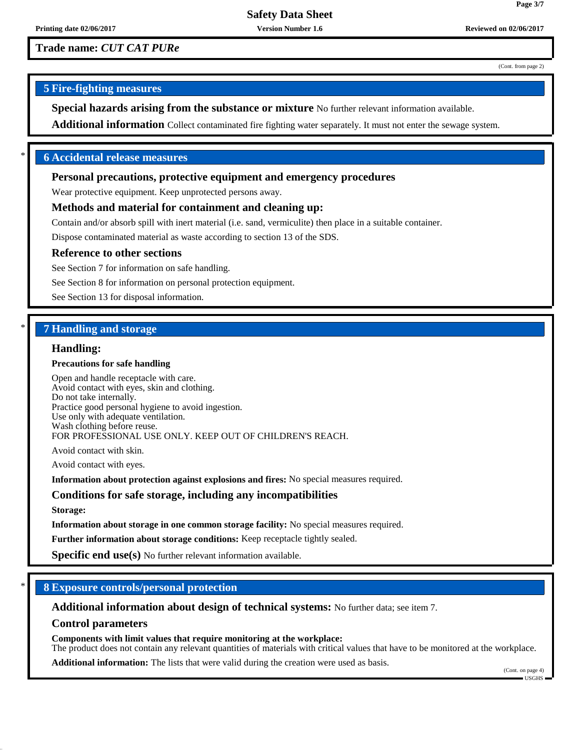**Trade name:** *CUT CAT PURe*

(Cont. from page 2)

**Page 3/7**

## **5 Fire-fighting measures**

**Special hazards arising from the substance or mixture** No further relevant information available.

**Additional information** Collect contaminated fire fighting water separately. It must not enter the sewage system.

## \* **6 Accidental release measures**

### **Personal precautions, protective equipment and emergency procedures**

Wear protective equipment. Keep unprotected persons away.

### **Methods and material for containment and cleaning up:**

Contain and/or absorb spill with inert material (i.e. sand, vermiculite) then place in a suitable container.

Dispose contaminated material as waste according to section 13 of the SDS.

#### **Reference to other sections**

See Section 7 for information on safe handling.

See Section 8 for information on personal protection equipment.

See Section 13 for disposal information.

## \* **7 Handling and storage**

### **Handling:**

#### **Precautions for safe handling**

Open and handle receptacle with care. Avoid contact with eyes, skin and clothing. Do not take internally. Practice good personal hygiene to avoid ingestion. Use only with adequate ventilation. Wash clothing before reuse. FOR PROFESSIONAL USE ONLY. KEEP OUT OF CHILDREN'S REACH.

Avoid contact with skin.

Avoid contact with eyes.

**Information about protection against explosions and fires:** No special measures required.

#### **Conditions for safe storage, including any incompatibilities**

**Storage:**

**Information about storage in one common storage facility:** No special measures required.

**Further information about storage conditions:** Keep receptacle tightly sealed.

**Specific end use(s)** No further relevant information available.

## \* **8 Exposure controls/personal protection**

**Additional information about design of technical systems:** No further data; see item 7.

## **Control parameters**

**Components with limit values that require monitoring at the workplace:**

The product does not contain any relevant quantities of materials with critical values that have to be monitored at the workplace.

**Additional information:** The lists that were valid during the creation were used as basis.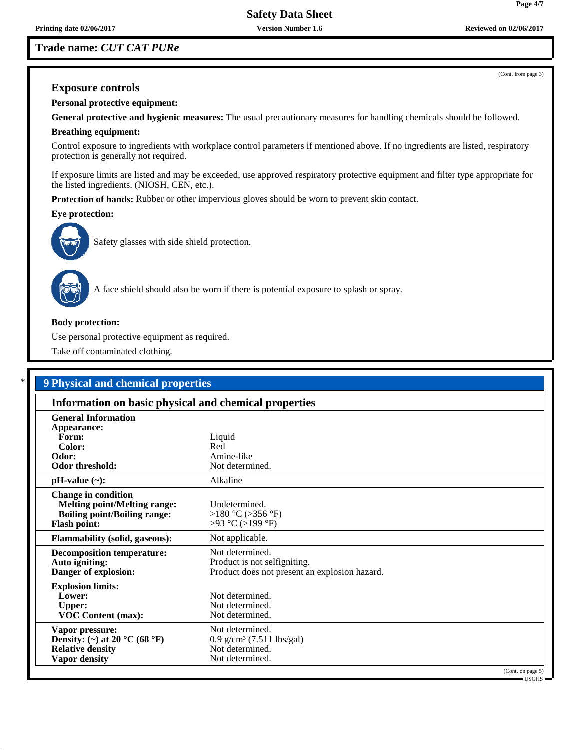## **Trade name:** *CUT CAT PURe*

(Cont. from page 3)

**Page 4/7**

## **Exposure controls**

**Personal protective equipment:**

**General protective and hygienic measures:** The usual precautionary measures for handling chemicals should be followed.

## **Breathing equipment:**

Control exposure to ingredients with workplace control parameters if mentioned above. If no ingredients are listed, respiratory protection is generally not required.

If exposure limits are listed and may be exceeded, use approved respiratory protective equipment and filter type appropriate for the listed ingredients. (NIOSH, CEN, etc.).

**Protection of hands:** Rubber or other impervious gloves should be worn to prevent skin contact.

#### **Eye protection:**



Safety glasses with side shield protection.



A face shield should also be worn if there is potential exposure to splash or spray.

#### **Body protection:**

Use personal protective equipment as required.

Take off contaminated clothing.

| <b>9 Physical and chemical properties</b>                                                                                       |                                                                                                  |  |
|---------------------------------------------------------------------------------------------------------------------------------|--------------------------------------------------------------------------------------------------|--|
| Information on basic physical and chemical properties                                                                           |                                                                                                  |  |
| <b>General Information</b>                                                                                                      |                                                                                                  |  |
| Appearance:                                                                                                                     |                                                                                                  |  |
| Form:                                                                                                                           | Liquid                                                                                           |  |
| Color:                                                                                                                          | Red                                                                                              |  |
| Odor:                                                                                                                           | Amine-like                                                                                       |  |
| <b>Odor threshold:</b>                                                                                                          | Not determined.                                                                                  |  |
| $pH-value (\sim):$                                                                                                              | Alkaline                                                                                         |  |
| <b>Change in condition</b><br><b>Melting point/Melting range:</b><br><b>Boiling point/Boiling range:</b><br><b>Flash point:</b> | Undetermined.<br>>180 °C (>356 °F)<br>>93 °C (>199 °F)                                           |  |
| <b>Flammability (solid, gaseous):</b>                                                                                           | Not applicable.                                                                                  |  |
| <b>Decomposition temperature:</b><br>Auto igniting:<br>Danger of explosion:                                                     | Not determined.<br>Product is not selfigniting.<br>Product does not present an explosion hazard. |  |
| <b>Explosion limits:</b><br>Lower:<br><b>Upper:</b><br><b>VOC Content (max):</b>                                                | Not determined.<br>Not determined.<br>Not determined.                                            |  |
| Vapor pressure:<br>Density: (~) at 20 °C (68 °F)<br><b>Relative density</b><br><b>Vapor density</b>                             | Not determined.<br>$0.9$ g/cm <sup>3</sup> (7.511 lbs/gal)<br>Not determined.<br>Not determined. |  |

(Cont. on page 5)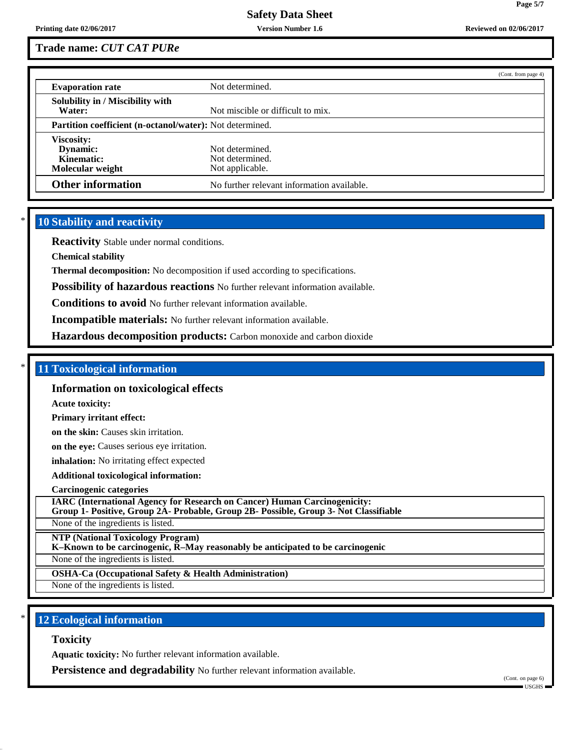**Page 5/7**

## **Trade name:** *CUT CAT PURe*

|                                                                 | (Cont. from page 4)                                   |  |
|-----------------------------------------------------------------|-------------------------------------------------------|--|
| <b>Evaporation rate</b>                                         | Not determined.                                       |  |
| Solubility in / Miscibility with<br>Water:                      | Not miscible or difficult to mix.                     |  |
| <b>Partition coefficient (n-octanol/water):</b> Not determined. |                                                       |  |
| Viscosity:<br>Dynamic:<br>Kinematic:<br>Molecular weight        | Not determined.<br>Not determined.<br>Not applicable. |  |
| <b>Other information</b>                                        | No further relevant information available.            |  |

## **10 Stability and reactivity**

**Reactivity** Stable under normal conditions.

**Chemical stability**

**Thermal decomposition:** No decomposition if used according to specifications.

**Possibility of hazardous reactions** No further relevant information available.

**Conditions to avoid** No further relevant information available.

**Incompatible materials:** No further relevant information available.

**Hazardous decomposition products:** Carbon monoxide and carbon dioxide

### \* **11 Toxicological information**

**Information on toxicological effects**

**Acute toxicity:**

**Primary irritant effect:**

**on the skin:** Causes skin irritation.

**on the eye:** Causes serious eye irritation.

**inhalation:** No irritating effect expected

**Additional toxicological information:**

**Carcinogenic categories**

**IARC (International Agency for Research on Cancer) Human Carcinogenicity: Group 1- Positive, Group 2A- Probable, Group 2B- Possible, Group 3- Not Classifiable**

None of the ingredients is listed.

**NTP (National Toxicology Program)**

**K–Known to be carcinogenic, R–May reasonably be anticipated to be carcinogenic**

None of the ingredients is listed.

**OSHA-Ca (Occupational Safety & Health Administration)**

None of the ingredients is listed.

## **12 Ecological information**

**Toxicity**

**Aquatic toxicity:** No further relevant information available.

**Persistence and degradability** No further relevant information available.

(Cont. on page 6)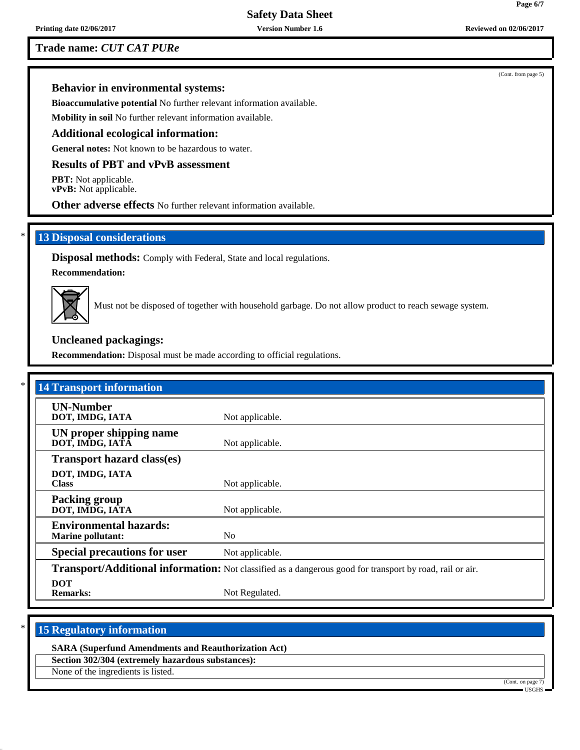**Printing date 02/06/2017 Version Number 1.6 Reviewed on 02/06/2017**

## **Trade name:** *CUT CAT PURe*

(Cont. from page 5)

## **Behavior in environmental systems:**

**Bioaccumulative potential** No further relevant information available.

**Mobility in soil** No further relevant information available.

## **Additional ecological information:**

**General notes:** Not known to be hazardous to water.

## **Results of PBT and vPvB assessment**

**PBT:** Not applicable. **vPvB:** Not applicable.

**Other adverse effects** No further relevant information available.

## **13 Disposal considerations**

**Disposal methods:** Comply with Federal, State and local regulations.

**Recommendation:**



Must not be disposed of together with household garbage. Do not allow product to reach sewage system.

## **Uncleaned packagings:**

**Recommendation:** Disposal must be made according to official regulations.

| <b>14 Transport information</b>                           |                                                                                                          |
|-----------------------------------------------------------|----------------------------------------------------------------------------------------------------------|
| <b>UN-Number</b><br>DOT, IMDG, IATA                       | Not applicable.                                                                                          |
| UN proper shipping name<br>DOT, IMDG, IATÂ                | Not applicable.                                                                                          |
| <b>Transport hazard class(es)</b>                         |                                                                                                          |
| DOT, IMDG, IATA<br><b>Class</b>                           | Not applicable.                                                                                          |
| <b>Packing group</b><br>DOT, IMDG, IATA                   | Not applicable.                                                                                          |
| <b>Environmental hazards:</b><br><b>Marine pollutant:</b> | N <sub>0</sub>                                                                                           |
| <b>Special precautions for user</b>                       | Not applicable.                                                                                          |
|                                                           | Transport/Additional information: Not classified as a dangerous good for transport by road, rail or air. |
| <b>DOT</b><br><b>Remarks:</b>                             | Not Regulated.                                                                                           |

## **15 Regulatory information**

**SARA (Superfund Amendments and Reauthorization Act)**

**Section 302/304 (extremely hazardous substances):**

None of the ingredients is listed.

(Cont. on page 7)